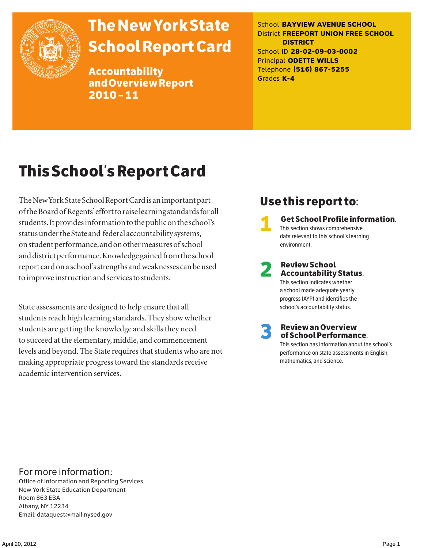

# The New York State School Report Card

Accountability and Overview Report 2010–11

School **BAYVIEW AVENUE SCHOOL** District **FREEPORT UNION FREE SCHOOL DISTRICT** School ID **28-02-09-03-0002** Principal **ODETTE WILLS** Telephone **(516) 867-5255** Grades **K-4**

# This School's Report Card

The New York State School Report Card is an important part of the Board of Regents' effort to raise learning standards for all students. It provides information to the public on the school's status under the State and federal accountability systems, on student performance, and on other measures of school and district performance. Knowledge gained from the school report card on a school's strengths and weaknesses can be used to improve instruction and services to students.

State assessments are designed to help ensure that all students reach high learning standards. They show whether students are getting the knowledge and skills they need to succeed at the elementary, middle, and commencement levels and beyond. The State requires that students who are not making appropriate progress toward the standards receive academic intervention services.

### Use this report to:

1 Get School Profile information. This section shows comprehensive data relevant to this school's learning environment.

# 2 Review School Accountability Status.

This section indicates whether a school made adequate yearly progress (AYP) and identifies the school's accountability status.

3 Review an Overview of School Performance.

This section has information about the school's performance on state assessments in English, mathematics, and science.

### For more information:

Office of Information and Reporting Services New York State Education Department Room 863 EBA Albany, NY 12234 Email: dataquest@mail.nysed.gov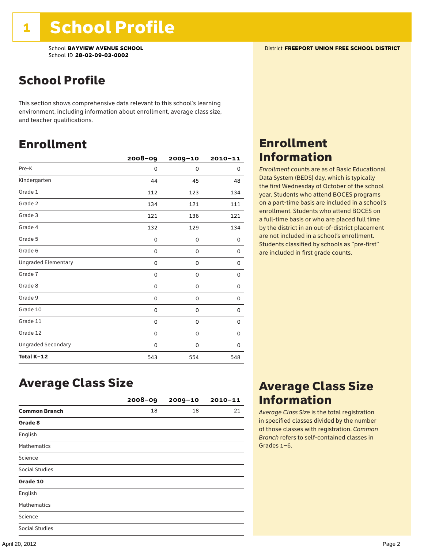### School Profile

This section shows comprehensive data relevant to this school's learning environment, including information about enrollment, average class size, and teacher qualifications.

### Enrollment

|                            | $2008 - 09$ | 2009-10  | $2010 - 11$ |
|----------------------------|-------------|----------|-------------|
| Pre-K                      | 0           | $\Omega$ | 0           |
| Kindergarten               | 44          | 45       | 48          |
| Grade 1                    | 112         | 123      | 134         |
| Grade 2                    | 134         | 121      | 111         |
| Grade 3                    | 121         | 136      | 121         |
| Grade 4                    | 132         | 129      | 134         |
| Grade 5                    | 0           | 0        | 0           |
| Grade 6                    | 0           | 0        | 0           |
| <b>Ungraded Elementary</b> | 0           | 0        | 0           |
| Grade 7                    | 0           | 0        | 0           |
| Grade 8                    | 0           | 0        | 0           |
| Grade 9                    | 0           | 0        | 0           |
| Grade 10                   | 0           | 0        | 0           |
| Grade 11                   | 0           | 0        | 0           |
| Grade 12                   | 0           | 0        | 0           |
| <b>Ungraded Secondary</b>  | 0           | 0        | 0           |
| Total K-12                 | 543         | 554      | 548         |

### Enrollment Information

*Enrollment* counts are as of Basic Educational Data System (BEDS) day, which is typically the first Wednesday of October of the school year. Students who attend BOCES programs on a part-time basis are included in a school's enrollment. Students who attend BOCES on a full-time basis or who are placed full time by the district in an out-of-district placement are not included in a school's enrollment. Students classified by schools as "pre-first" are included in first grade counts.

### Average Class Size

|                       | $2008 - 09$ | $2009 - 10$ | $2010 - 11$ |
|-----------------------|-------------|-------------|-------------|
| <b>Common Branch</b>  | 18          | 18          | 21          |
| Grade 8               |             |             |             |
| English               |             |             |             |
| <b>Mathematics</b>    |             |             |             |
| Science               |             |             |             |
| <b>Social Studies</b> |             |             |             |
| Grade 10              |             |             |             |
| English               |             |             |             |
| <b>Mathematics</b>    |             |             |             |
| Science               |             |             |             |
| <b>Social Studies</b> |             |             |             |

### Average Class Size Information

*Average Class Size* is the total registration in specified classes divided by the number of those classes with registration. *Common Branch* refers to self-contained classes in Grades 1–6.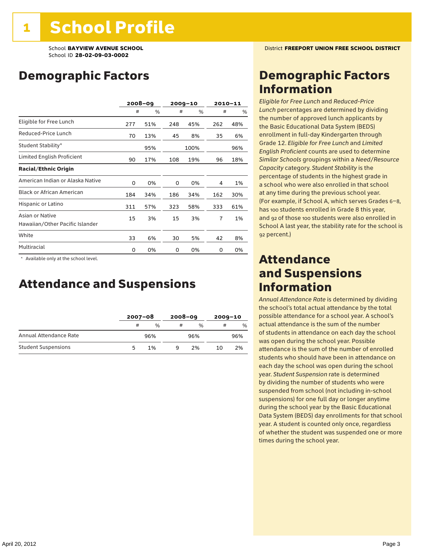### Demographic Factors

|                                                    |     | $2008 - 09$ |     | $2009 - 10$ |     | $2010 - 11$ |
|----------------------------------------------------|-----|-------------|-----|-------------|-----|-------------|
|                                                    | #   | %           | #   | %           | #   | %           |
| Eligible for Free Lunch                            | 277 | 51%         | 248 | 45%         | 262 | 48%         |
| Reduced-Price Lunch                                | 70  | 13%         | 45  | 8%          | 35  | 6%          |
| Student Stability*                                 |     | 95%         |     | 100%        |     | 96%         |
| Limited English Proficient                         | 90  | 17%         | 108 | 19%         | 96  | 18%         |
| <b>Racial/Ethnic Origin</b>                        |     |             |     |             |     |             |
| American Indian or Alaska Native                   | 0   | 0%          | 0   | 0%          | 4   | 1%          |
| <b>Black or African American</b>                   | 184 | 34%         | 186 | 34%         | 162 | 30%         |
| Hispanic or Latino                                 | 311 | 57%         | 323 | 58%         | 333 | 61%         |
| Asian or Native<br>Hawaiian/Other Pacific Islander | 15  | 3%          | 15  | 3%          | 7   | 1%          |
| White                                              | 33  | 6%          | 30  | 5%          | 42  | 8%          |
| Multiracial                                        | 0   | 0%          | 0   | 0%          | 0   | 0%          |

 \* Available only at the school level.

### Attendance and Suspensions

|                            |    | $2007 - 08$ |   | $2008 - 09$   |    | $2009 - 10$ |  |
|----------------------------|----|-------------|---|---------------|----|-------------|--|
|                            | #  | $\%$        | # | $\frac{0}{6}$ | #  | $\%$        |  |
| Annual Attendance Rate     |    | 96%         |   | 96%           |    | 96%         |  |
| <b>Student Suspensions</b> | 'n | 1%          | a | 2%            | 10 | 2%          |  |

### Demographic Factors Information

*Eligible for Free Lunch* and *Reduced*-*Price Lunch* percentages are determined by dividing the number of approved lunch applicants by the Basic Educational Data System (BEDS) enrollment in full-day Kindergarten through Grade 12. *Eligible for Free Lunch* and *Limited English Proficient* counts are used to determine *Similar Schools* groupings within a *Need*/*Resource Capacity* category. *Student Stability* is the percentage of students in the highest grade in a school who were also enrolled in that school at any time during the previous school year. (For example, if School A, which serves Grades 6–8, has 100 students enrolled in Grade 8 this year, and 92 of those 100 students were also enrolled in School A last year, the stability rate for the school is 92 percent.)

### Attendance and Suspensions Information

*Annual Attendance Rate* is determined by dividing the school's total actual attendance by the total possible attendance for a school year. A school's actual attendance is the sum of the number of students in attendance on each day the school was open during the school year. Possible attendance is the sum of the number of enrolled students who should have been in attendance on each day the school was open during the school year. *Student Suspension* rate is determined by dividing the number of students who were suspended from school (not including in-school suspensions) for one full day or longer anytime during the school year by the Basic Educational Data System (BEDS) day enrollments for that school year. A student is counted only once, regardless of whether the student was suspended one or more times during the school year.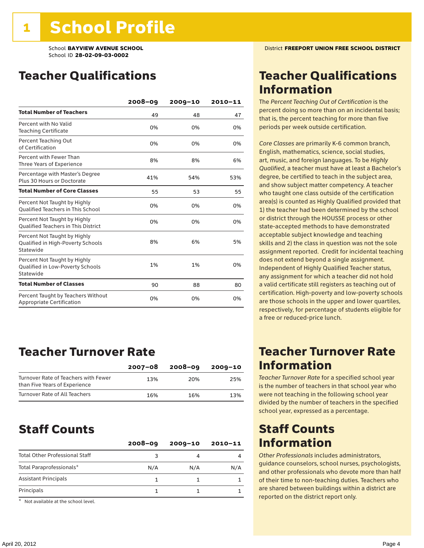### Teacher Qualifications

|                                                                                | $2008 - 09$ | $2009 - 10$ | 2010-11 |
|--------------------------------------------------------------------------------|-------------|-------------|---------|
| <b>Total Number of Teachers</b>                                                | 49          | 48          | 47      |
| Percent with No Valid<br><b>Teaching Certificate</b>                           | 0%          | 0%          | 0%      |
| Percent Teaching Out<br>of Certification                                       | 0%          | 0%          | 0%      |
| Percent with Fewer Than<br>Three Years of Experience                           | 8%          | 8%          | 6%      |
| Percentage with Master's Degree<br>Plus 30 Hours or Doctorate                  | 41%         | 54%         | 53%     |
| <b>Total Number of Core Classes</b>                                            | 55          | 53          | 55      |
| Percent Not Taught by Highly<br><b>Qualified Teachers in This School</b>       | 0%          | 0%          | 0%      |
| Percent Not Taught by Highly<br><b>Oualified Teachers in This District</b>     | 0%          | 0%          | 0%      |
| Percent Not Taught by Highly<br>Qualified in High-Poverty Schools<br>Statewide | 8%          | 6%          | 5%      |
| Percent Not Taught by Highly<br>Qualified in Low-Poverty Schools<br>Statewide  | 1%          | 1%          | 0%      |
| <b>Total Number of Classes</b>                                                 | 90          | 88          | 80      |
| Percent Taught by Teachers Without<br>Appropriate Certification                | 0%          | 0%          | 0%      |

### Teacher Turnover Rate

|                                                                       | $2007 - 08$ | 2008-09 | 2009-10 |
|-----------------------------------------------------------------------|-------------|---------|---------|
| Turnover Rate of Teachers with Fewer<br>than Five Years of Experience | 13%         | 20%     | 25%     |
| Turnover Rate of All Teachers                                         | 16%         | 16%     | 13%     |

### Staff Counts

|                                       | $2008 - 09$ | $2009 - 10$ | $2010 - 11$ |
|---------------------------------------|-------------|-------------|-------------|
| <b>Total Other Professional Staff</b> | ٩           |             |             |
| Total Paraprofessionals*              | N/A         | N/A         | N/A         |
| <b>Assistant Principals</b>           |             |             |             |
| Principals                            |             |             |             |

\* Not available at the school level.

### Teacher Qualifications Information

The *Percent Teaching Out of Certification* is the percent doing so more than on an incidental basis; that is, the percent teaching for more than five periods per week outside certification.

*Core Classes* are primarily K-6 common branch, English, mathematics, science, social studies, art, music, and foreign languages. To be *Highly Qualified*, a teacher must have at least a Bachelor's degree, be certified to teach in the subject area, and show subject matter competency. A teacher who taught one class outside of the certification area(s) is counted as Highly Qualified provided that 1) the teacher had been determined by the school or district through the HOUSSE process or other state-accepted methods to have demonstrated acceptable subject knowledge and teaching skills and 2) the class in question was not the sole assignment reported. Credit for incidental teaching does not extend beyond a single assignment. Independent of Highly Qualified Teacher status, any assignment for which a teacher did not hold a valid certificate still registers as teaching out of certification. High-poverty and low-poverty schools are those schools in the upper and lower quartiles, respectively, for percentage of students eligible for a free or reduced-price lunch.

### Teacher Turnover Rate Information

*Teacher Turnover Rate* for a specified school year is the number of teachers in that school year who were not teaching in the following school year divided by the number of teachers in the specified school year, expressed as a percentage.

### Staff Counts Information

*Other Professionals* includes administrators, guidance counselors, school nurses, psychologists, and other professionals who devote more than half of their time to non-teaching duties. Teachers who are shared between buildings within a district are reported on the district report only.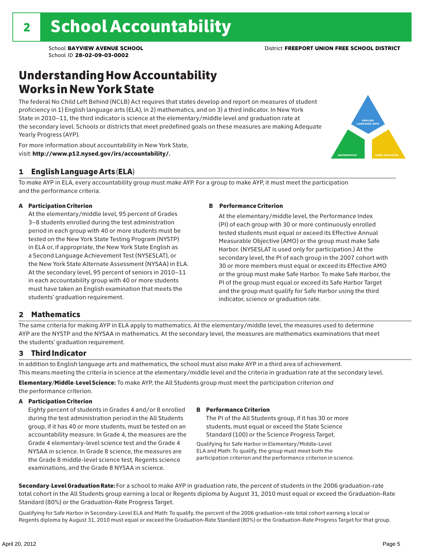### Understanding How Accountability Works in New York State

The federal No Child Left Behind (NCLB) Act requires that states develop and report on measures of student proficiency in 1) English language arts (ELA), in 2) mathematics, and on 3) a third indicator. In New York State in 2010–11, the third indicator is science at the elementary/middle level and graduation rate at the secondary level. Schools or districts that meet predefined goals on these measures are making Adequate Yearly Progress (AYP).



For more information about accountability in New York State, visit: http://www.p12.nysed.gov/irs/accountability/.

#### 1 English Language Arts (ELA)

To make AYP in ELA, every accountability group must make AYP. For a group to make AYP, it must meet the participation and the performance criteria.

#### A Participation Criterion

At the elementary/middle level, 95 percent of Grades 3–8 students enrolled during the test administration period in each group with 40 or more students must be tested on the New York State Testing Program (NYSTP) in ELA or, if appropriate, the New York State English as a Second Language Achievement Test (NYSESLAT), or the New York State Alternate Assessment (NYSAA) in ELA. At the secondary level, 95 percent of seniors in 2010–11 in each accountability group with 40 or more students must have taken an English examination that meets the students' graduation requirement.

#### B Performance Criterion

At the elementary/middle level, the Performance Index (PI) of each group with 30 or more continuously enrolled tested students must equal or exceed its Effective Annual Measurable Objective (AMO) or the group must make Safe Harbor. (NYSESLAT is used only for participation.) At the secondary level, the PI of each group in the 2007 cohort with 30 or more members must equal or exceed its Effective AMO or the group must make Safe Harbor. To make Safe Harbor, the PI of the group must equal or exceed its Safe Harbor Target and the group must qualify for Safe Harbor using the third indicator, science or graduation rate.

#### 2 Mathematics

The same criteria for making AYP in ELA apply to mathematics. At the elementary/middle level, the measures used to determine AYP are the NYSTP and the NYSAA in mathematics. At the secondary level, the measures are mathematics examinations that meet the students' graduation requirement.

#### 3 Third Indicator

In addition to English language arts and mathematics, the school must also make AYP in a third area of achievement. This means meeting the criteria in science at the elementary/middle level and the criteria in graduation rate at the secondary level.

Elementary/Middle-Level Science: To make AYP, the All Students group must meet the participation criterion *and* the performance criterion.

#### A Participation Criterion

Eighty percent of students in Grades 4 and/or 8 enrolled during the test administration period in the All Students group, if it has 40 or more students, must be tested on an accountability measure. In Grade 4, the measures are the Grade 4 elementary-level science test and the Grade 4 NYSAA in science. In Grade 8 science, the measures are the Grade 8 middle-level science test, Regents science examinations, and the Grade 8 NYSAA in science.

#### B Performance Criterion

The PI of the All Students group, if it has 30 or more students, must equal or exceed the State Science Standard (100) or the Science Progress Target.

Qualifying for Safe Harbor in Elementary/Middle-Level ELA and Math: To qualify, the group must meet both the participation criterion and the performance criterion in science.

Secondary-Level Graduation Rate: For a school to make AYP in graduation rate, the percent of students in the 2006 graduation-rate total cohort in the All Students group earning a local or Regents diploma by August 31, 2010 must equal or exceed the Graduation-Rate Standard (80%) or the Graduation-Rate Progress Target.

Qualifying for Safe Harbor in Secondary-Level ELA and Math: To qualify, the percent of the 2006 graduation-rate total cohort earning a local or Regents diploma by August 31, 2010 must equal or exceed the Graduation-Rate Standard (80%) or the Graduation-Rate Progress Target for that group.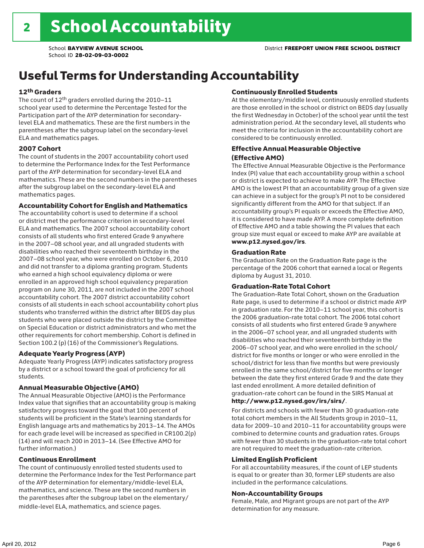## Useful Terms for Understanding Accountability

#### 12th Graders

The count of 12th graders enrolled during the 2010–11 school year used to determine the Percentage Tested for the Participation part of the AYP determination for secondarylevel ELA and mathematics. These are the first numbers in the parentheses after the subgroup label on the secondary-level ELA and mathematics pages.

#### 2007 Cohort

The count of students in the 2007 accountability cohort used to determine the Performance Index for the Test Performance part of the AYP determination for secondary-level ELA and mathematics. These are the second numbers in the parentheses after the subgroup label on the secondary-level ELA and mathematics pages.

#### Accountability Cohort for English and Mathematics

The accountability cohort is used to determine if a school or district met the performance criterion in secondary-level ELA and mathematics. The 2007 school accountability cohort consists of all students who first entered Grade 9 anywhere in the 2007–08 school year, and all ungraded students with disabilities who reached their seventeenth birthday in the 2007–08 school year, who were enrolled on October 6, 2010 and did not transfer to a diploma granting program. Students who earned a high school equivalency diploma or were enrolled in an approved high school equivalency preparation program on June 30, 2011, are not included in the 2007 school accountability cohort. The 2007 district accountability cohort consists of all students in each school accountability cohort plus students who transferred within the district after BEDS day plus students who were placed outside the district by the Committee on Special Education or district administrators and who met the other requirements for cohort membership. Cohort is defined in Section 100.2 (p) (16) of the Commissioner's Regulations.

#### Adequate Yearly Progress (AYP)

Adequate Yearly Progress (AYP) indicates satisfactory progress by a district or a school toward the goal of proficiency for all students.

#### Annual Measurable Objective (AMO)

The Annual Measurable Objective (AMO) is the Performance Index value that signifies that an accountability group is making satisfactory progress toward the goal that 100 percent of students will be proficient in the State's learning standards for English language arts and mathematics by 2013–14. The AMOs for each grade level will be increased as specified in CR100.2(p) (14) and will reach 200 in 2013–14. (See Effective AMO for further information.)

#### Continuous Enrollment

The count of continuously enrolled tested students used to determine the Performance Index for the Test Performance part of the AYP determination for elementary/middle-level ELA, mathematics, and science. These are the second numbers in the parentheses after the subgroup label on the elementary/ middle-level ELA, mathematics, and science pages.

#### Continuously Enrolled Students

At the elementary/middle level, continuously enrolled students are those enrolled in the school or district on BEDS day (usually the first Wednesday in October) of the school year until the test administration period. At the secondary level, all students who meet the criteria for inclusion in the accountability cohort are considered to be continuously enrolled.

#### Effective Annual Measurable Objective (Effective AMO)

The Effective Annual Measurable Objective is the Performance Index (PI) value that each accountability group within a school or district is expected to achieve to make AYP. The Effective AMO is the lowest PI that an accountability group of a given size can achieve in a subject for the group's PI not to be considered significantly different from the AMO for that subject. If an accountability group's PI equals or exceeds the Effective AMO, it is considered to have made AYP. A more complete definition of Effective AMO and a table showing the PI values that each group size must equal or exceed to make AYP are available at www.p12.nysed.gov/irs.

#### Graduation Rate

The Graduation Rate on the Graduation Rate page is the percentage of the 2006 cohort that earned a local or Regents diploma by August 31, 2010.

#### Graduation-Rate Total Cohort

The Graduation-Rate Total Cohort, shown on the Graduation Rate page, is used to determine if a school or district made AYP in graduation rate. For the 2010–11 school year, this cohort is the 2006 graduation-rate total cohort. The 2006 total cohort consists of all students who first entered Grade 9 anywhere in the 2006–07 school year, and all ungraded students with disabilities who reached their seventeenth birthday in the 2006–07 school year, and who were enrolled in the school/ district for five months or longer or who were enrolled in the school/district for less than five months but were previously enrolled in the same school/district for five months or longer between the date they first entered Grade 9 and the date they last ended enrollment. A more detailed definition of graduation-rate cohort can be found in the SIRS Manual at

#### http://www.p12.nysed.gov/irs/sirs/.

For districts and schools with fewer than 30 graduation-rate total cohort members in the All Students group in 2010–11, data for 2009–10 and 2010–11 for accountability groups were combined to determine counts and graduation rates. Groups with fewer than 30 students in the graduation-rate total cohort are not required to meet the graduation-rate criterion.

#### Limited English Proficient

For all accountability measures, if the count of LEP students is equal to or greater than 30, former LEP students are also included in the performance calculations.

#### Non-Accountability Groups

Female, Male, and Migrant groups are not part of the AYP determination for any measure.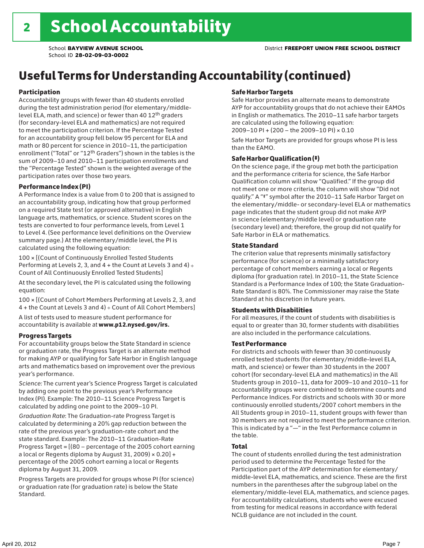## Useful Terms for Understanding Accountability (continued)

#### Participation

Accountability groups with fewer than 40 students enrolled during the test administration period (for elementary/middlelevel ELA, math, and science) or fewer than 40 12th graders (for secondary-level ELA and mathematics) are not required to meet the participation criterion. If the Percentage Tested for an accountability group fell below 95 percent for ELA and math or 80 percent for science in 2010–11, the participation enrollment ("Total" or "12th Graders") shown in the tables is the sum of 2009–10 and 2010–11 participation enrollments and the "Percentage Tested" shown is the weighted average of the participation rates over those two years.

#### Performance Index (PI)

A Performance Index is a value from 0 to 200 that is assigned to an accountability group, indicating how that group performed on a required State test (or approved alternative) in English language arts, mathematics, or science. Student scores on the tests are converted to four performance levels, from Level 1 to Level 4. (See performance level definitions on the Overview summary page.) At the elementary/middle level, the PI is calculated using the following equation:

100 × [(Count of Continuously Enrolled Tested Students Performing at Levels 2, 3, and  $4 +$  the Count at Levels 3 and  $4) \div$ Count of All Continuously Enrolled Tested Students]

At the secondary level, the PI is calculated using the following equation:

100 × [(Count of Cohort Members Performing at Levels 2, 3, and 4 + the Count at Levels 3 and 4) ÷ Count of All Cohort Members]

A list of tests used to measure student performance for accountability is available at www.p12.nysed.gov/irs.

#### Progress Targets

For accountability groups below the State Standard in science or graduation rate, the Progress Target is an alternate method for making AYP or qualifying for Safe Harbor in English language arts and mathematics based on improvement over the previous year's performance.

*Science:* The current year's Science Progress Target is calculated by adding one point to the previous year's Performance Index (PI). Example: The 2010–11 Science Progress Target is calculated by adding one point to the 2009–10 PI.

*Graduation Rate*: The Graduation-rate Progress Target is calculated by determining a 20% gap reduction between the rate of the previous year's graduation-rate cohort and the state standard. Example: The 2010–11 Graduation-Rate Progress Target = [(80 – percentage of the 2005 cohort earning a local or Regents diploma by August 31, 2009)  $\times$  0.20] + percentage of the 2005 cohort earning a local or Regents diploma by August 31, 2009.

Progress Targets are provided for groups whose PI (for science) or graduation rate (for graduation rate) is below the State Standard.

#### Safe Harbor Targets

Safe Harbor provides an alternate means to demonstrate AYP for accountability groups that do not achieve their EAMOs in English or mathematics. The 2010–11 safe harbor targets are calculated using the following equation: 2009–10 PI + (200 – the 2009–10 PI) × 0.10

Safe Harbor Targets are provided for groups whose PI is less than the EAMO.

#### Safe Harbor Qualification (‡)

On the science page, if the group met both the participation and the performance criteria for science, the Safe Harbor Qualification column will show "Qualified." If the group did not meet one or more criteria, the column will show "Did not qualify." A "‡" symbol after the 2010–11 Safe Harbor Target on the elementary/middle- or secondary-level ELA or mathematics page indicates that the student group did not make AYP in science (elementary/middle level) or graduation rate (secondary level) and; therefore, the group did not qualify for Safe Harbor in ELA or mathematics.

#### State Standard

The criterion value that represents minimally satisfactory performance (for science) or a minimally satisfactory percentage of cohort members earning a local or Regents diploma (for graduation rate). In 2010–11, the State Science Standard is a Performance Index of 100; the State Graduation-Rate Standard is 80%. The Commissioner may raise the State Standard at his discretion in future years.

#### Students with Disabilities

For all measures, if the count of students with disabilities is equal to or greater than 30, former students with disabilities are also included in the performance calculations.

#### Test Performance

For districts and schools with fewer than 30 continuously enrolled tested students (for elementary/middle-level ELA, math, and science) or fewer than 30 students in the 2007 cohort (for secondary-level ELA and mathematics) in the All Students group in 2010–11, data for 2009–10 and 2010–11 for accountability groups were combined to determine counts and Performance Indices. For districts and schools with 30 or more continuously enrolled students/2007 cohort members in the All Students group in 2010–11, student groups with fewer than 30 members are not required to meet the performance criterion. This is indicated by a "—" in the Test Performance column in the table.

#### Total

The count of students enrolled during the test administration period used to determine the Percentage Tested for the Participation part of the AYP determination for elementary/ middle-level ELA, mathematics, and science. These are the first numbers in the parentheses after the subgroup label on the elementary/middle-level ELA, mathematics, and science pages. For accountability calculations, students who were excused from testing for medical reasons in accordance with federal NCLB guidance are not included in the count.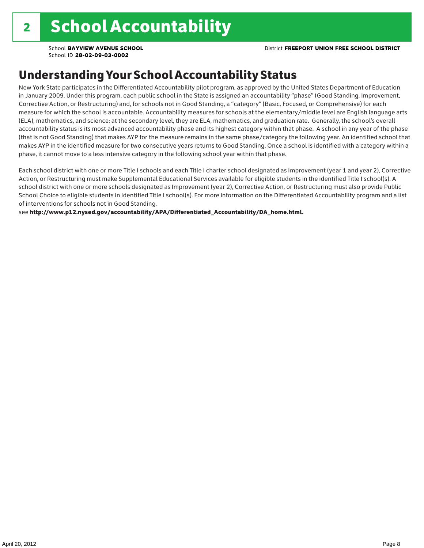### Understanding Your School Accountability Status

New York State participates in the Differentiated Accountability pilot program, as approved by the United States Department of Education in January 2009. Under this program, each public school in the State is assigned an accountability "phase" (Good Standing, Improvement, Corrective Action, or Restructuring) and, for schools not in Good Standing, a "category" (Basic, Focused, or Comprehensive) for each measure for which the school is accountable. Accountability measures for schools at the elementary/middle level are English language arts (ELA), mathematics, and science; at the secondary level, they are ELA, mathematics, and graduation rate. Generally, the school's overall accountability status is its most advanced accountability phase and its highest category within that phase. A school in any year of the phase (that is not Good Standing) that makes AYP for the measure remains in the same phase/category the following year. An identified school that makes AYP in the identified measure for two consecutive years returns to Good Standing. Once a school is identified with a category within a phase, it cannot move to a less intensive category in the following school year within that phase.

Each school district with one or more Title I schools and each Title I charter school designated as Improvement (year 1 and year 2), Corrective Action, or Restructuring must make Supplemental Educational Services available for eligible students in the identified Title I school(s). A school district with one or more schools designated as Improvement (year 2), Corrective Action, or Restructuring must also provide Public School Choice to eligible students in identified Title I school(s). For more information on the Differentiated Accountability program and a list of interventions for schools not in Good Standing,

see http://www.p12.nysed.gov/accountability/APA/Differentiated\_Accountability/DA\_home.html.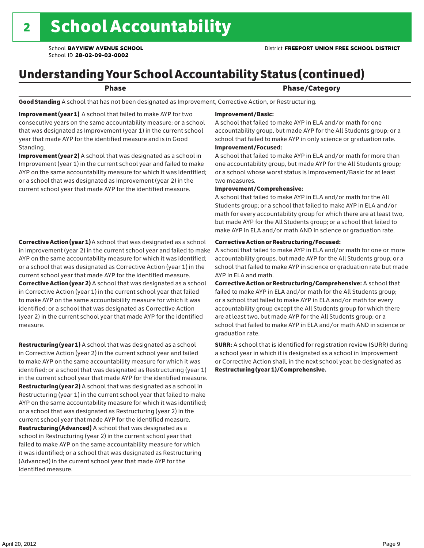## Understanding Your School Accountability Status (continued)

#### Phase **Phase** Phase/Category

Good Standing A school that has not been designated as Improvement, Corrective Action, or Restructuring.

Improvement (year 1) A school that failed to make AYP for two consecutive years on the same accountability measure; or a school that was designated as Improvement (year 1) in the current school year that made AYP for the identified measure and is in Good Standing.

Improvement (year 2) A school that was designated as a school in Improvement (year 1) in the current school year and failed to make AYP on the same accountability measure for which it was identified; or a school that was designated as Improvement (year 2) in the current school year that made AYP for the identified measure.

Corrective Action (year 1) A school that was designated as a school in Improvement (year 2) in the current school year and failed to make AYP on the same accountability measure for which it was identified; or a school that was designated as Corrective Action (year 1) in the current school year that made AYP for the identified measure. Corrective Action (year 2) A school that was designated as a school in Corrective Action (year 1) in the current school year that failed to make AYP on the same accountability measure for which it was identified; or a school that was designated as Corrective Action (year 2) in the current school year that made AYP for the identified measure.

**Restructuring (year 1)** A school that was designated as a school in Corrective Action (year 2) in the current school year and failed to make AYP on the same accountability measure for which it was identified; or a school that was designated as Restructuring (year 1) in the current school year that made AYP for the identified measure. Restructuring (year 2) A school that was designated as a school in Restructuring (year 1) in the current school year that failed to make AYP on the same accountability measure for which it was identified; or a school that was designated as Restructuring (year 2) in the current school year that made AYP for the identified measure. Restructuring (Advanced) A school that was designated as a school in Restructuring (year 2) in the current school year that failed to make AYP on the same accountability measure for which it was identified; or a school that was designated as Restructuring (Advanced) in the current school year that made AYP for the identified measure.

#### Improvement/Basic:

A school that failed to make AYP in ELA and/or math for one accountability group, but made AYP for the All Students group; or a school that failed to make AYP in only science or graduation rate.

Improvement/Focused:

A school that failed to make AYP in ELA and/or math for more than one accountability group, but made AYP for the All Students group; or a school whose worst status is Improvement/Basic for at least two measures.

#### Improvement/Comprehensive:

A school that failed to make AYP in ELA and/or math for the All Students group; or a school that failed to make AYP in ELA and/or math for every accountability group for which there are at least two, but made AYP for the All Students group; or a school that failed to make AYP in ELA and/or math AND in science or graduation rate.

#### Corrective Action or Restructuring/Focused:

A school that failed to make AYP in ELA and/or math for one or more accountability groups, but made AYP for the All Students group; or a school that failed to make AYP in science or graduation rate but made AYP in ELA and math.

Corrective Action or Restructuring/Comprehensive: A school that failed to make AYP in ELA and/or math for the All Students group; or a school that failed to make AYP in ELA and/or math for every accountability group except the All Students group for which there are at least two, but made AYP for the All Students group; or a school that failed to make AYP in ELA and/or math AND in science or graduation rate.

SURR: A school that is identified for registration review (SURR) during a school year in which it is designated as a school in Improvement or Corrective Action shall, in the next school year, be designated as Restructuring (year 1)/Comprehensive.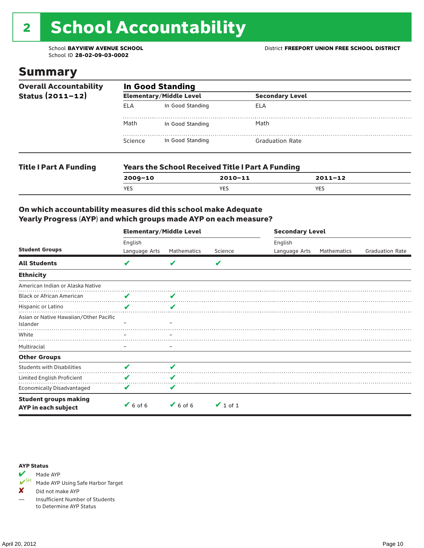# 2 School Accountability

School ID **28-02-09-03-0002**

### Summary

| <b>Overall Accountability</b><br>Status $(2011 - 12)$ | <b>In Good Standing</b> |                                |                                                         |             |  |  |  |
|-------------------------------------------------------|-------------------------|--------------------------------|---------------------------------------------------------|-------------|--|--|--|
|                                                       |                         | <b>Elementary/Middle Level</b> | <b>Secondary Level</b>                                  |             |  |  |  |
|                                                       | <b>ELA</b>              | In Good Standing               | ELA                                                     |             |  |  |  |
|                                                       | Math                    | In Good Standing               | Math                                                    |             |  |  |  |
|                                                       | Science                 | In Good Standing               | <b>Graduation Rate</b>                                  |             |  |  |  |
| <b>Title I Part A Funding</b>                         |                         |                                | <b>Years the School Received Title I Part A Funding</b> |             |  |  |  |
|                                                       | $2009 - 10$             |                                | $2010 - 11$                                             | $2011 - 12$ |  |  |  |

YES YES YES

#### On which accountability measures did this school make Adequate Yearly Progress (AYP) and which groups made AYP on each measure?

|                                                     | <b>Elementary/Middle Level</b> |                              |               |               | <b>Secondary Level</b> |                        |  |  |
|-----------------------------------------------------|--------------------------------|------------------------------|---------------|---------------|------------------------|------------------------|--|--|
|                                                     | English                        |                              |               | English       |                        |                        |  |  |
| <b>Student Groups</b>                               | Language Arts                  | Mathematics                  | Science       | Language Arts | Mathematics            | <b>Graduation Rate</b> |  |  |
| <b>All Students</b>                                 | V                              |                              | V             |               |                        |                        |  |  |
| <b>Ethnicity</b>                                    |                                |                              |               |               |                        |                        |  |  |
| American Indian or Alaska Native                    |                                |                              |               |               |                        |                        |  |  |
| <b>Black or African American</b>                    | V                              |                              |               |               |                        |                        |  |  |
| Hispanic or Latino                                  | V                              | ✔                            |               |               |                        |                        |  |  |
| Asian or Native Hawaiian/Other Pacific<br>Islander  |                                |                              |               |               |                        |                        |  |  |
| White                                               |                                |                              |               |               |                        |                        |  |  |
| Multiracial                                         | -                              |                              |               |               |                        |                        |  |  |
| <b>Other Groups</b>                                 |                                |                              |               |               |                        |                        |  |  |
| <b>Students with Disabilities</b>                   | V                              | ✔                            |               |               |                        |                        |  |  |
| Limited English Proficient                          | V                              | v                            |               |               |                        |                        |  |  |
| <b>Economically Disadvantaged</b>                   | V                              | v                            |               |               |                        |                        |  |  |
| <b>Student groups making</b><br>AYP in each subject | $6$ of 6                       | $\blacktriangleright$ 6 of 6 | $\vee$ 1 of 1 |               |                        |                        |  |  |

#### AYP Status



Made AYP Using Safe Harbor Target

✘ Did not make AYP

— Insufficient Number of Students to Determine AYP Status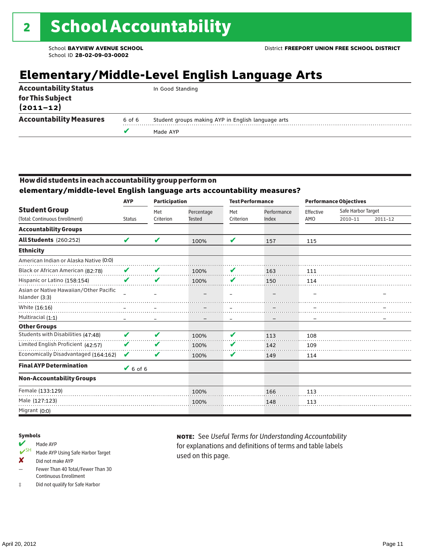## **Elementary/Middle-Level English Language Arts**

|                                   |        | Made AYP                                           |
|-----------------------------------|--------|----------------------------------------------------|
| <b>Accountability Measures</b>    | 6 of 6 | Student groups making AYP in English language arts |
| for This Subject<br>$(2011 - 12)$ |        |                                                    |
| <b>Accountability Status</b>      |        | In Good Standing                                   |

### How did students in each accountability group perform on

**elementary/middle-level English language arts accountability measures?**

|                                                          | <b>AYP</b>    | <b>Participation</b>       |               | <b>Test Performance</b>  |             |           | <b>Performance Objectives</b> |             |
|----------------------------------------------------------|---------------|----------------------------|---------------|--------------------------|-------------|-----------|-------------------------------|-------------|
| <b>Student Group</b>                                     |               | Met                        | Percentage    | Met                      | Performance | Effective | Safe Harbor Target            |             |
| (Total: Continuous Enrollment)                           | <b>Status</b> | Criterion                  | <b>Tested</b> | Criterion                | Index       | AMO       | 2010-11                       | $2011 - 12$ |
| <b>Accountability Groups</b>                             |               |                            |               |                          |             |           |                               |             |
| All Students (260:252)                                   | V             | V                          | 100%          | V                        | 157         | 115       |                               |             |
| <b>Ethnicity</b>                                         |               |                            |               |                          |             |           |                               |             |
| American Indian or Alaska Native (0:0)                   |               |                            |               |                          |             |           |                               |             |
| Black or African American (82:78)                        | ✔             | V                          | 100%          | V                        | 163         | 111       |                               |             |
| Hispanic or Latino (158:154)                             | V             | V                          | 100%          | V                        | 150         | 114       |                               |             |
| Asian or Native Hawaiian/Other Pacific<br>Islander (3:3) |               |                            |               | $\overline{\phantom{0}}$ |             |           |                               |             |
| White (16:16)                                            |               |                            |               |                          |             |           |                               |             |
| Multiracial (1:1)                                        |               |                            |               |                          |             |           |                               |             |
| <b>Other Groups</b>                                      |               |                            |               |                          |             |           |                               |             |
| Students with Disabilities (47:48)                       | ✔             | $\boldsymbol{\mathscr{L}}$ | 100%          | ✔                        | 113         | 108       |                               |             |
| Limited English Proficient (42:57)                       | V             | V                          | 100%          | V                        | 142         | 109       |                               |             |
| Economically Disadvantaged (164:162)                     | V             | V                          | 100%          | V                        | 149         | 114       |                               |             |
| <b>Final AYP Determination</b>                           | $6$ of 6      |                            |               |                          |             |           |                               |             |
| <b>Non-Accountability Groups</b>                         |               |                            |               |                          |             |           |                               |             |
| Female (133:129)                                         |               |                            | 100%          |                          | 166         | 113       |                               |             |
| Male (127:123)                                           |               |                            | 100%          |                          | 148         | 113       |                               |             |
| Migrant (0:0)                                            |               |                            |               |                          |             |           |                               |             |

#### Symbols

#### Made AYP

- ✔SH Made AYP Using Safe Harbor Target
- ✘ Did not make AYP
- Fewer Than 40 Total/Fewer Than 30 Continuous Enrollment
- ‡ Did not qualify for Safe Harbor

note: See *Useful Terms for Understanding Accountability*  for explanations and definitions of terms and table labels used on this page.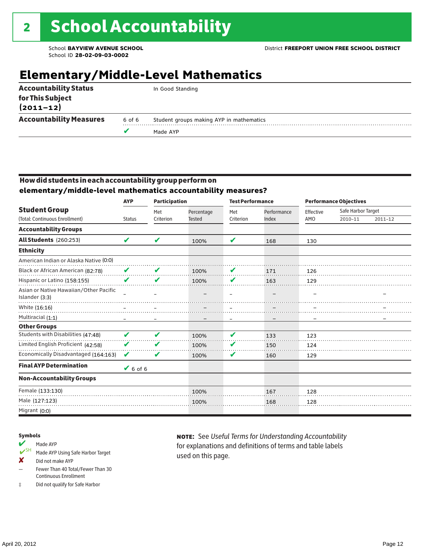## **Elementary/Middle-Level Mathematics**

|                                   |        | Made AYP                                 |
|-----------------------------------|--------|------------------------------------------|
| <b>Accountability Measures</b>    | 6 of 6 | Student groups making AYP in mathematics |
| for This Subject<br>$(2011 - 12)$ |        |                                          |
| <b>Accountability Status</b>      |        | In Good Standing                         |

#### How did students in each accountability group perform on **elementary/middle-level mathematics accountability measures?**

|                                                          | <b>AYP</b>    | <b>Participation</b> |                             | <b>Test Performance</b> |                      | <b>Performance Objectives</b> |                               |         |  |
|----------------------------------------------------------|---------------|----------------------|-----------------------------|-------------------------|----------------------|-------------------------------|-------------------------------|---------|--|
| <b>Student Group</b><br>(Total: Continuous Enrollment)   | <b>Status</b> | Met<br>Criterion     | Percentage<br><b>Tested</b> | Met<br>Criterion        | Performance<br>Index | Effective<br>AMO              | Safe Harbor Target<br>2010-11 | 2011-12 |  |
|                                                          |               |                      |                             |                         |                      |                               |                               |         |  |
| <b>Accountability Groups</b>                             |               |                      |                             |                         |                      |                               |                               |         |  |
| <b>All Students</b> (260:253)                            | V             | V                    | 100%                        | V                       | 168                  | 130                           |                               |         |  |
| <b>Ethnicity</b>                                         |               |                      |                             |                         |                      |                               |                               |         |  |
| American Indian or Alaska Native (0:0)                   |               |                      |                             |                         |                      |                               |                               |         |  |
| Black or African American (82:78)                        | V             | V                    | 100%                        | V                       | 171                  | 126                           |                               |         |  |
| Hispanic or Latino (158:155)                             | V             | V                    | 100%                        | V                       | 163                  | 129                           |                               |         |  |
| Asian or Native Hawaiian/Other Pacific<br>Islander (3:3) |               |                      |                             |                         |                      |                               |                               |         |  |
| White (16:16)                                            |               |                      |                             |                         |                      |                               |                               |         |  |
| Multiracial (1:1)                                        |               |                      |                             |                         |                      |                               |                               |         |  |
| <b>Other Groups</b>                                      |               |                      |                             |                         |                      |                               |                               |         |  |
| Students with Disabilities (47:48)                       | V             | V                    | 100%                        | V                       | 133                  | 123                           |                               |         |  |
| Limited English Proficient (42:58)                       | V             | V                    | 100%                        | V                       | 150                  | 124                           |                               |         |  |
| Economically Disadvantaged (164:163)                     | V             | V                    | 100%                        | V                       | 160                  | 129                           |                               |         |  |
| <b>Final AYP Determination</b>                           | $6$ of 6      |                      |                             |                         |                      |                               |                               |         |  |
| <b>Non-Accountability Groups</b>                         |               |                      |                             |                         |                      |                               |                               |         |  |
| Female (133:130)                                         |               |                      | 100%                        |                         | 167                  | 128                           |                               |         |  |
| Male (127:123)                                           |               |                      | 100%                        |                         | 168                  | 128                           |                               |         |  |
| Migrant (0:0)                                            |               |                      |                             |                         |                      |                               |                               |         |  |

#### Symbols

- Made AYP<br>
SH Made AYP Made AYP Using Safe Harbor Target
- ✘ Did not make AYP
- Fewer Than 40 Total/Fewer Than 30 Continuous Enrollment
- ‡ Did not qualify for Safe Harbor

note: See *Useful Terms for Understanding Accountability*  for explanations and definitions of terms and table labels used on this page.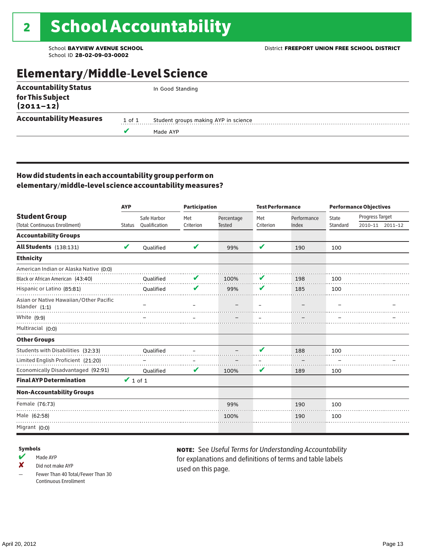### Elementary/Middle-Level Science

| <b>Accountability Status</b>   |        | In Good Standing                     |
|--------------------------------|--------|--------------------------------------|
| for This Subject<br>(2011–12)  |        |                                      |
| <b>Accountability Measures</b> | 1 of 1 | Student groups making AYP in science |
|                                |        | Made AYP                             |
|                                |        |                                      |

#### How did students in each accountability group perform on elementary/middle-level science accountability measures?

|                                                            | <b>AYP</b>    |                  | <b>Participation</b> |               | <b>Test Performance</b> |             | <b>Performance Objectives</b> |                 |                 |
|------------------------------------------------------------|---------------|------------------|----------------------|---------------|-------------------------|-------------|-------------------------------|-----------------|-----------------|
| <b>Student Group</b>                                       |               | Safe Harbor      | Met                  | Percentage    | Met                     | Performance | State                         | Progress Target |                 |
| (Total: Continuous Enrollment)                             | <b>Status</b> | Qualification    | Criterion            | <b>Tested</b> | Criterion               | Index       | Standard                      |                 | 2010-11 2011-12 |
| <b>Accountability Groups</b>                               |               |                  |                      |               |                         |             |                               |                 |                 |
| All Students (138:131)                                     | V             | Oualified        | V                    | 99%           | V                       | 190         | 100                           |                 |                 |
| <b>Ethnicity</b>                                           |               |                  |                      |               |                         |             |                               |                 |                 |
| American Indian or Alaska Native (0:0)                     |               |                  |                      |               |                         |             |                               |                 |                 |
| Black or African American (43:40)                          |               | Qualified        | V                    | 100%          | V                       | 198         | 100                           |                 |                 |
| Hispanic or Latino (85:81)                                 |               | <b>Oualified</b> | V                    | 99%           | V                       | 185         | 100                           |                 |                 |
| Asian or Native Hawaiian/Other Pacific<br>Islander $(1:1)$ |               |                  |                      |               |                         |             |                               |                 |                 |
| White (9:9)                                                |               |                  |                      |               |                         |             |                               |                 |                 |
| Multiracial (0:0)                                          |               |                  |                      |               |                         |             |                               |                 |                 |
| <b>Other Groups</b>                                        |               |                  |                      |               |                         |             |                               |                 |                 |
| Students with Disabilities (32:33)                         |               | <b>Oualified</b> |                      |               | V                       | 188         | 100                           |                 |                 |
| Limited English Proficient (21:20)                         |               |                  |                      |               |                         |             |                               |                 |                 |
| Economically Disadvantaged (92:91)                         |               | Qualified        | V                    | 100%          | V                       | 189         | 100                           |                 |                 |
| <b>Final AYP Determination</b>                             | $\vee$ 1 of 1 |                  |                      |               |                         |             |                               |                 |                 |
| <b>Non-Accountability Groups</b>                           |               |                  |                      |               |                         |             |                               |                 |                 |
| Female (76:73)                                             |               |                  |                      | 99%           |                         | 190         | 100                           |                 |                 |
| Male (62:58)                                               |               |                  |                      | 100%          |                         | 190         | 100                           |                 |                 |
| Migrant (0:0)                                              |               |                  |                      |               |                         |             |                               |                 |                 |

#### Symbols

 $M$  Made AYP

✘ Did not make AYP

Fewer Than 40 Total/Fewer Than 30 Continuous Enrollment

note: See *Useful Terms for Understanding Accountability*  for explanations and definitions of terms and table labels used on this page.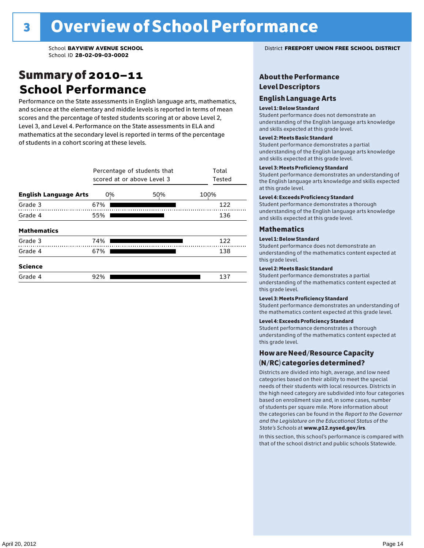### Summary of 2010–11 **School Performance**

Performance on the State assessments in English language arts, mathematics, and science at the elementary and middle levels is reported in terms of mean scores and the percentage of tested students scoring at or above Level 2, Level 3, and Level 4. Performance on the State assessments in ELA and mathematics at the secondary level is reported in terms of the percentage of students in a cohort scoring at these levels.

|                              | Percentage of students that<br>scored at or above Level 3 | Total<br>Tested |      |
|------------------------------|-----------------------------------------------------------|-----------------|------|
| <b>English Language Arts</b> | 0%                                                        | 50%             | 100% |
| Grade 3                      | 67%                                                       |                 | 122  |
| Grade 4                      | 55%                                                       |                 | 136  |
| <b>Mathematics</b>           |                                                           |                 |      |
| Grade 3                      | 74%                                                       |                 | 122  |
| Grade 4                      | 67%                                                       |                 | 138  |
| <b>Science</b>               |                                                           |                 |      |
| Grade 4                      | 92%                                                       |                 | 137  |

School **BAYVIEW AVENUE SCHOOL** District **FREEPORT UNION FREE SCHOOL DISTRICT**

#### About the Performance Level Descriptors

#### English I anguage Arts. The Learning English Language Arts

#### Level 1: Below Standard

understanding of the content expected in the subjection of the subjection  $\mathcal{L}$ Student performance does not demonstrate an and skills expected at this grade level. understanding of the English language arts knowledge

#### Student performance demonstrates a partial Level 2: Meets Basic Standard understanding of the content expected in the subject of the subject of the subject of the subject of the subject

Student performance demonstrates a partial and skills expected at this grade level. Students performance demonstrates and understanding and understanding and understanding and understanding and u understanding of the English language arts knowledge

#### Level 3: Meets Proficiency Standard

Level 4: Meeting Learning Standards with Distinction. the English language arts knowledge and skills expected at this grade level.<br>at this grade level.  $\mathbf{u}$  and  $\mathbf{y}$  and  $\mathbf{u}$  the subjected in the subjected in the subjected in the subjection  $\mathbf{y}$ Student performance demonstrates an understanding of

#### Level 4: Exceeds Proficiency Standard

understanding of the English language arts knowledge and skills expected at this grade level.<br>———————————————————— Student performance demonstrates a thorough

#### Districts are districts and low need in the low need  $\sim$

#### categories based on their ability to meet the special Level 1: Below Standard

Student performance does not demonstrate an understanding of the mathematics content expected at  $\frac{1}{2}$  based on enrollment size and, in some cases, number  $\frac{1}{2}$  and,  $\frac{1}{2}$  and,  $\frac{1}{2}$ 

#### $\overline{\mathsf{Level}}$  2: Meets Basic Standard about  $\overline{\mathsf{Level}}$

the categories can be found in the *Report to the Governor categories* can be found in the *Report to the Govern*or  $\alpha$ *and the Legislature on the Educational Status of the*  Student performance demonstrates a partial understanding of the mathematics content expected at this grade level.

#### Level 3: Meets Proficiency Standard

Student performance demonstrates an understanding of the mathematics content expected at this grade level.

#### Level 4: Exceeds Proficiency Standard

Student performance demonstrates a thorough understanding of the mathematics content expected at this grade level.  $\mathcal{L}_{\text{max}}$  is performance with that of similar  $\mathcal{L}_{\text{max}}$ 

#### schools. The following factors are considered in grouping How are Need/Resource Capacity  $(N/RC)$  categories determined?  $\hphantom{N(2)}\sum_{n=1}^{\infty}\frac{1}{n}$

Districts are divided into high, average, and low need categories based on their ability to meet the special needs of their students with local resources. Districts in the high need category are subdivided into four categories based on enrollment size and, in some cases, number of students per square mile. More information about the categories can be found in the *Report to the Governor* Group: *State's Schools* at www.p12.nysed.gov/irs. *and the Legislature on the Educational Status of the* 

In this section, this school's performance is compared with that of the school district and public schools Statewide.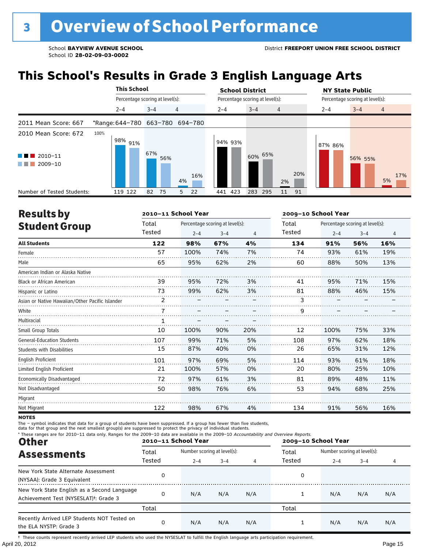## **This School's Results in Grade 3 English Language Arts**

|                                                           | <b>This School</b>              |                                 |     | <b>School District</b> |                                 |                | <b>NY State Public</b>          |  |  |  |
|-----------------------------------------------------------|---------------------------------|---------------------------------|-----|------------------------|---------------------------------|----------------|---------------------------------|--|--|--|
|                                                           |                                 | Percentage scoring at level(s): |     |                        | Percentage scoring at level(s): |                | Percentage scoring at level(s): |  |  |  |
|                                                           | $2 - 4$                         | $\overline{4}$<br>$3 - 4$       |     | $2 - 4$                | $3 - 4$<br>$\overline{4}$       | $2 - 4$        | $3 - 4$<br>$\overline{4}$       |  |  |  |
| 2011 Mean Score: 667                                      | *Range: 644-780 663-780 694-780 |                                 |     |                        |                                 |                |                                 |  |  |  |
| 2010 Mean Score: 672<br>$\blacksquare$ 2010-11<br>2009-10 | 100%<br>98% 91%                 | 67%<br>56%                      | 16% | 94% 93%                | 60% 65%                         | 87% 86%<br>20% | 56% 55%<br>17%                  |  |  |  |
| Number of Tested Students:                                | 119 122                         | 4%<br>82<br>75<br>5             | 22  | 441 423                | 2%<br>283 295<br>11             | 91             | 5%                              |  |  |  |

| <b>Results by</b>                               |              | 2010-11 School Year |                                 |     | 2009-10 School Year |         |                                 |                |  |
|-------------------------------------------------|--------------|---------------------|---------------------------------|-----|---------------------|---------|---------------------------------|----------------|--|
| <b>Student Group</b>                            | Total        |                     | Percentage scoring at level(s): |     | Total               |         | Percentage scoring at level(s): |                |  |
|                                                 | Tested       | $2 - 4$             | $3 - 4$                         | 4   | Tested              | $2 - 4$ | $3 - 4$                         | $\overline{4}$ |  |
| <b>All Students</b>                             | 122          | 98%                 | 67%                             | 4%  | 134                 | 91%     | 56%                             | 16%            |  |
| Female                                          | 57           | 100%                | 74%                             | 7%  | 74                  | 93%     | 61%                             | 19%            |  |
| Male                                            | 65           | 95%                 | 62%                             | 2%  | 60                  | 88%     | 50%                             | 13%            |  |
| American Indian or Alaska Native                |              |                     |                                 |     |                     |         |                                 |                |  |
| <b>Black or African American</b>                | 39           | 95%                 | 72%                             | 3%  | 41                  | 95%     | 71%                             | 15%            |  |
| Hispanic or Latino                              | 73           | 99%                 | 62%                             | 3%  | 81                  | 88%     | 46%                             | 15%            |  |
| Asian or Native Hawaiian/Other Pacific Islander | 2            |                     |                                 |     | 3                   |         |                                 |                |  |
| White                                           |              |                     |                                 |     | 9                   |         |                                 |                |  |
| Multiracial                                     | $\mathbf{1}$ |                     |                                 |     |                     |         |                                 |                |  |
| Small Group Totals                              | 10           | 100%                | 90%                             | 20% | 12                  | 100%    | 75%                             | 33%            |  |
| <b>General-Education Students</b>               | 107          | 99%                 | 71%                             | 5%  | 108                 | 97%     | 62%                             | 18%            |  |
| <b>Students with Disabilities</b>               | 15           | 87%                 | 40%                             | 0%  | 26                  | 65%     | 31%                             | 12%            |  |
| <b>English Proficient</b>                       | 101          | 97%                 | 69%                             | 5%  | 114                 | 93%     | 61%                             | 18%            |  |
| Limited English Proficient                      | 21           | 100%                | 57%                             | 0%  | 20                  | 80%     | 25%                             | 10%            |  |
| Economically Disadvantaged                      | 72           | 97%                 | 61%                             | 3%  | 81                  | 89%     | 48%                             | 11%            |  |
| Not Disadvantaged                               | 50           | 98%                 | 76%                             | 6%  | 53                  | 94%     | 68%                             | 25%            |  |
| Migrant                                         |              |                     |                                 |     |                     |         |                                 |                |  |
| Not Migrant                                     | 122          | 98%                 | 67%                             | 4%  | 134                 | 91%     | 56%                             | 16%            |  |

**NOTES** 

The – symbol indicates that data for a group of students have been suppressed. If a group has fewer than five students,<br>data for that group and the next smallest group(s) are suppressed to protect the privacy of individual

| * These ranges are for 2010-11 data only. Ranges for the 2009-10 data are available in the 2009-10 Accountability and Overview Reports.<br><b>Other</b> |          | 2010-11 School Year         |         |     | 2009-10 School Year |                             |         |     |  |  |
|---------------------------------------------------------------------------------------------------------------------------------------------------------|----------|-----------------------------|---------|-----|---------------------|-----------------------------|---------|-----|--|--|
| <b>Assessments</b>                                                                                                                                      | Total    | Number scoring at level(s): |         |     | Total               | Number scoring at level(s): |         |     |  |  |
|                                                                                                                                                         | Tested   | $2 - 4$                     | $3 - 4$ |     | Tested              | $2 - 4$                     | $3 - 4$ | 4   |  |  |
| New York State Alternate Assessment<br>(NYSAA): Grade 3 Equivalent                                                                                      | 0        |                             |         |     | 0                   |                             |         |     |  |  |
| New York State English as a Second Language<br>Achievement Test (NYSESLAT) <sup>t</sup> : Grade 3                                                       | $\Omega$ | N/A                         | N/A     | N/A |                     | N/A                         | N/A     | N/A |  |  |
|                                                                                                                                                         | Total    |                             |         |     | Total               |                             |         |     |  |  |
| Recently Arrived LEP Students NOT Tested on<br>the ELA NYSTP: Grade 3                                                                                   | 0        | N/A                         | N/A     | N/A |                     | N/A                         | N/A     | N/A |  |  |

April 20, 2012 Page 15 † These counts represent recently arrived LEP students who used the NYSESLAT to fulfill the English language arts participation requirement.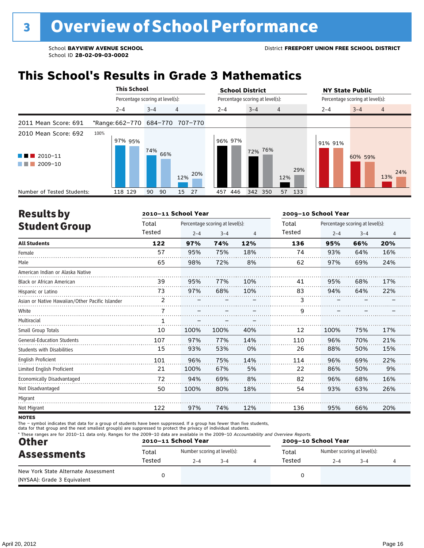### **This School's Results in Grade 3 Mathematics**

|                                                                | <b>This School</b> |                                 |  |         |     |                                 | <b>School District</b>          |  |         |                |        | <b>NY State Public</b>          |         |                |  |
|----------------------------------------------------------------|--------------------|---------------------------------|--|---------|-----|---------------------------------|---------------------------------|--|---------|----------------|--------|---------------------------------|---------|----------------|--|
|                                                                |                    | Percentage scoring at level(s): |  |         |     |                                 | Percentage scoring at level(s): |  |         |                |        | Percentage scoring at level(s): |         |                |  |
|                                                                |                    | $2 - 4$                         |  | $3 - 4$ |     | $\overline{4}$                  | $2 - 4$                         |  | $3 - 4$ | $\overline{4}$ |        | $2 - 4$                         | $3 - 4$ | $\overline{4}$ |  |
| 2011 Mean Score: 691                                           |                    |                                 |  |         |     | *Range: 662-770 684-770 707-770 |                                 |  |         |                |        |                                 |         |                |  |
| 2010 Mean Score: 692<br>$\blacksquare$ 2010-11<br>2009-10<br>. | 100%               | 97% 95%                         |  | 74%     | 66% | 12% 20%                         | 96% 97%                         |  | 72% 76% | 12%            | 29%    | 91% 91%                         | 60% 59% | 24%<br>13%     |  |
| Number of Tested Students:                                     |                    | 118 129                         |  | 90      | 90  | 15<br>27                        | 446<br>457                      |  | 342 350 |                | 57 133 |                                 |         |                |  |

| <b>Results by</b>                               |        | 2010-11 School Year |                                 |     | 2009-10 School Year |                                 |         |     |  |
|-------------------------------------------------|--------|---------------------|---------------------------------|-----|---------------------|---------------------------------|---------|-----|--|
| <b>Student Group</b>                            | Total  |                     | Percentage scoring at level(s): |     | Total               | Percentage scoring at level(s): |         |     |  |
|                                                 | Tested | $2 - 4$             | $3 - 4$                         | 4   | Tested              | $2 - 4$                         | $3 - 4$ | 4   |  |
| <b>All Students</b>                             | 122    | 97%                 | 74%                             | 12% | 136                 | 95%                             | 66%     | 20% |  |
| Female                                          | 57     | 95%                 | 75%                             | 18% | 74                  | 93%                             | 64%     | 16% |  |
| Male                                            | 65     | 98%                 | 72%                             | 8%  | 62                  | 97%                             | 69%     | 24% |  |
| American Indian or Alaska Native                |        |                     |                                 |     |                     |                                 |         |     |  |
| Black or African American                       | 39     | 95%                 | 77%                             | 10% | 41                  | 95%                             | 68%     | 17% |  |
| Hispanic or Latino                              | 73     | 97%                 | 68%                             | 10% | 83                  | 94%                             | 64%     | 22% |  |
| Asian or Native Hawaiian/Other Pacific Islander | 2      |                     |                                 |     | 3                   |                                 |         |     |  |
| White                                           | 7      |                     |                                 |     | 9                   |                                 |         |     |  |
| Multiracial                                     | 1      |                     |                                 |     |                     |                                 |         |     |  |
| Small Group Totals                              | 10     | 100%                | 100%                            | 40% | 12                  | 100%                            | 75%     | 17% |  |
| <b>General-Education Students</b>               | 107    | 97%                 | 77%                             | 14% | 110                 | 96%                             | 70%     | 21% |  |
| <b>Students with Disabilities</b>               | 15     | 93%                 | 53%                             | 0%  | 26                  | 88%                             | 50%     | 15% |  |
| <b>English Proficient</b>                       | 101    | 96%                 | 75%                             | 14% | 114                 | 96%                             | 69%     | 22% |  |
| Limited English Proficient                      | 21     | 100%                | 67%                             | 5%  | 22                  | 86%                             | 50%     | 9%  |  |
| Economically Disadvantaged                      | 72     | 94%                 | 69%                             | 8%  | 82                  | 96%                             | 68%     | 16% |  |
| Not Disadvantaged                               | 50     | 100%                | 80%                             | 18% | 54                  | 93%                             | 63%     | 26% |  |
| Migrant                                         |        |                     |                                 |     |                     |                                 |         |     |  |
| Not Migrant                                     | 122    | 97%                 | 74%                             | 12% | 136                 | 95%                             | 66%     | 20% |  |
|                                                 |        |                     |                                 |     |                     |                                 |         |     |  |

**NOTES** 

The – symbol indicates that data for a group of students have been suppressed. If a group has fewer than five students,

data for that group and the next smallest group(s) are suppressed to protect the privacy of individual students.

| * These ranges are for 2010-11 data only. Ranges for the 2009-10 data are available in the 2009-10 Accountability and Overview Reports.<br><b>Other</b> |        | 2010-11 School Year         |         | 2009-10 School Year |        |                             |         |  |  |
|---------------------------------------------------------------------------------------------------------------------------------------------------------|--------|-----------------------------|---------|---------------------|--------|-----------------------------|---------|--|--|
| <b>Assessments</b>                                                                                                                                      | Total  | Number scoring at level(s): |         |                     | Total  | Number scoring at level(s): |         |  |  |
|                                                                                                                                                         | Tested | $2 - 4$                     | $3 - 4$ |                     | Tested | $2 - 4$                     | $3 - 4$ |  |  |
| New York State Alternate Assessment<br>(NYSAA): Grade 3 Equivalent                                                                                      |        |                             |         |                     |        |                             |         |  |  |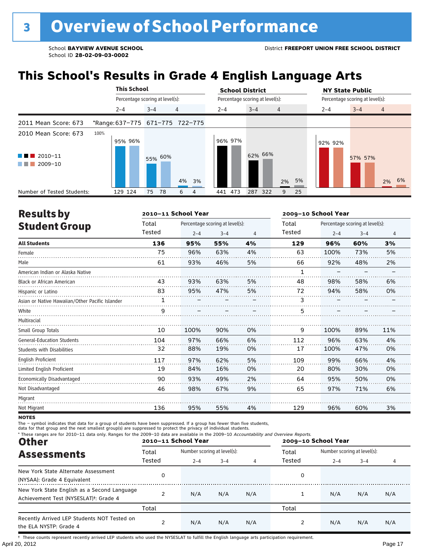## **This School's Results in Grade 4 English Language Arts**

|                                   |      | <b>This School</b>              |                                 |   |       | <b>School District</b>          |         |         |         |                                 |    | <b>NY State Public</b> |  |         |   |       |
|-----------------------------------|------|---------------------------------|---------------------------------|---|-------|---------------------------------|---------|---------|---------|---------------------------------|----|------------------------|--|---------|---|-------|
|                                   |      |                                 | Percentage scoring at level(s): |   |       | Percentage scoring at level(s): |         |         |         | Percentage scoring at level(s): |    |                        |  |         |   |       |
|                                   |      | $2 - 4$                         | $3 - 4$                         | 4 |       | $2 - 4$                         |         | $3 - 4$ |         | $\overline{4}$                  |    | $2 - 4$                |  | $3 - 4$ | 4 |       |
| 2011 Mean Score: 673              |      | *Range: 637-775 671-775 722-775 |                                 |   |       |                                 |         |         |         |                                 |    |                        |  |         |   |       |
| 2010 Mean Score: 673              | 100% | 95% 96%                         |                                 |   |       |                                 | 96% 97% |         |         |                                 |    | 92% 92%                |  |         |   |       |
| $\blacksquare$ 2010-11<br>2009-10 |      |                                 | 55% 60%                         |   | 4% 3% |                                 |         |         | 62% 66% | 2%                              | 5% |                        |  | 57% 57% |   | 2% 6% |
| Number of Tested Students:        |      | 129 124                         | 75<br>78                        | 6 | 4     |                                 | 441 473 |         | 287 322 | 9                               | 25 |                        |  |         |   |       |

| <b>Results by</b>                               |        | 2010-11 School Year |                                 |    | 2009-10 School Year |                                 |         |     |  |
|-------------------------------------------------|--------|---------------------|---------------------------------|----|---------------------|---------------------------------|---------|-----|--|
| <b>Student Group</b>                            | Total  |                     | Percentage scoring at level(s): |    | Total               | Percentage scoring at level(s): |         |     |  |
|                                                 | Tested | $2 - 4$             | $3 - 4$                         | 4  | Tested              | $2 - 4$                         | $3 - 4$ | 4   |  |
| <b>All Students</b>                             | 136    | 95%                 | 55%                             | 4% | 129                 | 96%                             | 60%     | 3%  |  |
| Female                                          | 75     | 96%                 | 63%                             | 4% | 63                  | 100%                            | 73%     | 5%  |  |
| Male                                            | 61     | 93%                 | 46%                             | 5% | 66                  | 92%                             | 48%     | 2%  |  |
| American Indian or Alaska Native                |        |                     |                                 |    | 1                   |                                 |         |     |  |
| <b>Black or African American</b>                | 43     | 93%                 | 63%                             | 5% | 48                  | 98%                             | 58%     | 6%  |  |
| Hispanic or Latino                              | 83     | 95%                 | 47%                             | 5% | 72                  | 94%                             | 58%     | 0%  |  |
| Asian or Native Hawaiian/Other Pacific Islander | 1      |                     |                                 |    | 3                   |                                 |         |     |  |
| White                                           | q      |                     |                                 |    | 5                   |                                 |         |     |  |
| Multiracial                                     |        |                     |                                 |    |                     |                                 |         |     |  |
| Small Group Totals                              | 10     | 100%                | 90%                             | 0% | 9                   | 100%                            | 89%     | 11% |  |
| <b>General-Education Students</b>               | 104    | 97%                 | 66%                             | 6% | 112                 | 96%                             | 63%     | 4%  |  |
| <b>Students with Disabilities</b>               | 32     | 88%                 | 19%                             | 0% | 17                  | 100%                            | 47%     | 0%  |  |
| English Proficient                              | 117    | 97%                 | 62%                             | 5% | 109                 | 99%                             | 66%     | 4%  |  |
| Limited English Proficient                      | 19     | 84%                 | 16%                             | 0% | 20                  | 80%                             | 30%     | 0%  |  |
| Economically Disadvantaged                      | 90     | 93%                 | 49%                             | 2% | 64                  | 95%                             | 50%     | 0%  |  |
| Not Disadvantaged                               | 46     | 98%                 | 67%                             | 9% | 65                  | 97%                             | 71%     | 6%  |  |
| Migrant                                         |        |                     |                                 |    |                     |                                 |         |     |  |
| Not Migrant                                     | 136    | 95%                 | 55%                             | 4% | 129                 | 96%                             | 60%     | 3%  |  |

**NOTES** 

The – symbol indicates that data for a group of students have been suppressed. If a group has fewer than five students,<br>data for that group and the next smallest group(s) are suppressed to protect the privacy of individual

| * These ranges are for 2010-11 data only. Ranges for the 2009-10 data are available in the 2009-10 Accountability and Overview Reports.<br><b>Other</b> |        | 2010-11 School Year         |         |     | 2009-10 School Year |                             |         |     |  |
|---------------------------------------------------------------------------------------------------------------------------------------------------------|--------|-----------------------------|---------|-----|---------------------|-----------------------------|---------|-----|--|
| <b>Assessments</b>                                                                                                                                      | Total  | Number scoring at level(s): |         |     | Total               | Number scoring at level(s): |         |     |  |
|                                                                                                                                                         | Tested | $2 - 4$                     | $3 - 4$ | 4   | Tested              | $2 - 4$                     | $3 - 4$ | 4   |  |
| New York State Alternate Assessment<br>(NYSAA): Grade 4 Equivalent                                                                                      | 0      |                             |         |     | 0                   |                             |         |     |  |
| New York State English as a Second Language<br>Achievement Test (NYSESLAT) <sup>+</sup> : Grade 4                                                       |        | N/A                         | N/A     | N/A |                     | N/A                         | N/A     | N/A |  |
|                                                                                                                                                         | Total  |                             |         |     | Total               |                             |         |     |  |
| Recently Arrived LEP Students NOT Tested on<br>the ELA NYSTP: Grade 4                                                                                   |        | N/A                         | N/A     | N/A |                     | N/A                         | N/A     | N/A |  |

April 20, 2012 Page 17 † These counts represent recently arrived LEP students who used the NYSESLAT to fulfill the English language arts participation requirement.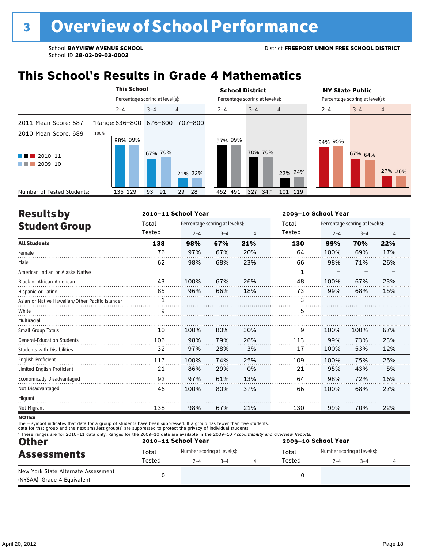## **This School's Results in Grade 4 Mathematics**

|                                                        | <b>This School</b>              |                                 |                     | <b>School District</b> |                                 | <b>NY State Public</b>               |  |  |  |
|--------------------------------------------------------|---------------------------------|---------------------------------|---------------------|------------------------|---------------------------------|--------------------------------------|--|--|--|
|                                                        |                                 | Percentage scoring at level(s): |                     |                        | Percentage scoring at level(s): | Percentage scoring at level(s):      |  |  |  |
|                                                        | $2 - 4$                         | $3 - 4$                         | $\overline{4}$      | $2 - 4$                | $3 - 4$<br>$\overline{4}$       | $3 - 4$<br>$2 - 4$<br>$\overline{4}$ |  |  |  |
| 2011 Mean Score: 687                                   | *Range: 636-800 676-800 707-800 |                                 |                     |                        |                                 |                                      |  |  |  |
| 2010 Mean Score: 689<br>$\blacksquare$ 2010-11         | 100%<br>98% 99%                 | 67% 70%                         |                     | 97% 99%                | 70% 70%                         | 94% 95%<br>67% 64%                   |  |  |  |
| 2009-10<br>a katika masu<br>Number of Tested Students: | 135 129                         | 93<br>91                        | 21% 22%<br>28<br>29 | 452 491                | 22% 24%<br>327 347<br>101 119   | 27% 26%                              |  |  |  |

| <b>Results by</b>                               |        | 2010-11 School Year |                                 |     | 2009-10 School Year |                                 |         |     |  |
|-------------------------------------------------|--------|---------------------|---------------------------------|-----|---------------------|---------------------------------|---------|-----|--|
| <b>Student Group</b>                            | Total  |                     | Percentage scoring at level(s): |     | Total               | Percentage scoring at level(s): |         |     |  |
|                                                 | Tested | $2 - 4$             | $3 - 4$                         | 4   | Tested              | $2 - 4$                         | $3 - 4$ | 4   |  |
| <b>All Students</b>                             | 138    | 98%                 | 67%                             | 21% | 130                 | 99%                             | 70%     | 22% |  |
| Female                                          | 76     | 97%                 | 67%                             | 20% | 64                  | 100%                            | 69%     | 17% |  |
| Male                                            | 62     | 98%                 | 68%                             | 23% | 66                  | 98%                             | 71%     | 26% |  |
| American Indian or Alaska Native                |        |                     |                                 |     | 1                   |                                 |         |     |  |
| <b>Black or African American</b>                | 43     | 100%                | 67%                             | 26% | 48                  | 100%                            | 67%     | 23% |  |
| Hispanic or Latino                              | 85     | 96%                 | 66%                             | 18% | 73                  | 99%                             | 68%     | 15% |  |
| Asian or Native Hawaiian/Other Pacific Islander | 1      |                     |                                 |     | 3                   |                                 |         |     |  |
| White                                           | 9      |                     |                                 |     | 5                   |                                 |         |     |  |
| Multiracial                                     |        |                     |                                 |     |                     |                                 |         |     |  |
| Small Group Totals                              | 10     | 100%                | 80%                             | 30% | 9                   | 100%                            | 100%    | 67% |  |
| <b>General-Education Students</b>               | 106    | 98%                 | 79%                             | 26% | 113                 | 99%                             | 73%     | 23% |  |
| <b>Students with Disabilities</b>               | 32     | 97%                 | 28%                             | 3%  | 17                  | 100%                            | 53%     | 12% |  |
| <b>English Proficient</b>                       | 117    | 100%                | 74%                             | 25% | 109                 | 100%                            | 75%     | 25% |  |
| Limited English Proficient                      | 21     | 86%                 | 29%                             | 0%  | 21                  | 95%                             | 43%     | 5%  |  |
| Economically Disadvantaged                      | 92     | 97%                 | 61%                             | 13% | 64                  | 98%                             | 72%     | 16% |  |
| Not Disadvantaged                               | 46     | 100%                | 80%                             | 37% | 66                  | 100%                            | 68%     | 27% |  |
| Migrant                                         |        |                     |                                 |     |                     |                                 |         |     |  |
| Not Migrant                                     | 138    | 98%                 | 67%                             | 21% | 130                 | 99%                             | 70%     | 22% |  |

**NOTES** 

The – symbol indicates that data for a group of students have been suppressed. If a group has fewer than five students,

data for that group and the next smallest group(s) are suppressed to protect the privacy of individual students.

| <b>Other</b>                                                       |        | 2010-11 School Year         |         | * These ranges are for 2010-11 data only. Ranges for the 2009-10 data are available in the 2009-10 Accountability and Overview Reports.<br>2009-10 School Year |        |                             |         |  |  |
|--------------------------------------------------------------------|--------|-----------------------------|---------|----------------------------------------------------------------------------------------------------------------------------------------------------------------|--------|-----------------------------|---------|--|--|
| <b>Assessments</b>                                                 | Total  | Number scoring at level(s): |         |                                                                                                                                                                | Total  | Number scoring at level(s): |         |  |  |
|                                                                    | Tested | $2 - 4$                     | $3 - 4$ |                                                                                                                                                                | Tested | $2 - 4$                     | $3 - 4$ |  |  |
| New York State Alternate Assessment<br>(NYSAA): Grade 4 Equivalent |        |                             |         |                                                                                                                                                                |        |                             |         |  |  |